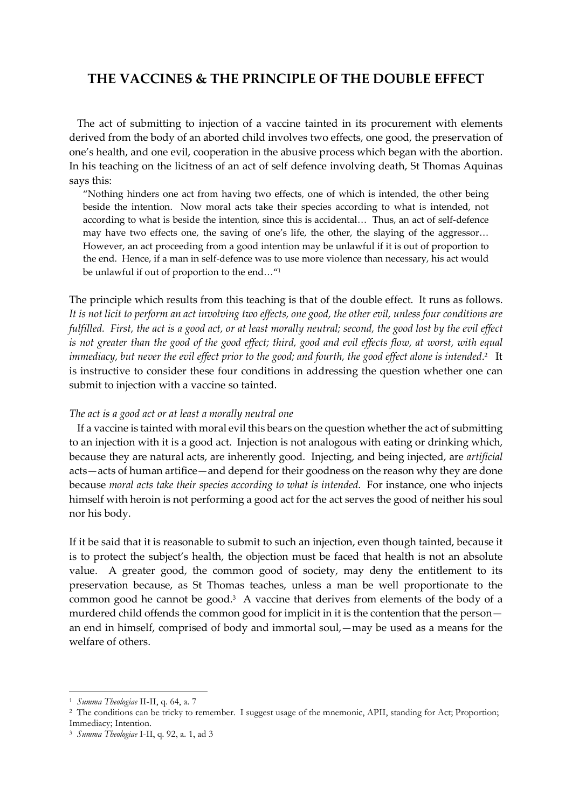## THE VACCINES & THE PRINCIPLE OF THE DOUBLE EFFECT

 The act of submitting to injection of a vaccine tainted in its procurement with elements derived from the body of an aborted child involves two effects, one good, the preservation of one's health, and one evil, cooperation in the abusive process which began with the abortion. In his teaching on the licitness of an act of self defence involving death, St Thomas Aquinas says this:

"Nothing hinders one act from having two effects, one of which is intended, the other being beside the intention. Now moral acts take their species according to what is intended, not according to what is beside the intention, since this is accidental… Thus, an act of self-defence may have two effects one, the saving of one's life, the other, the slaying of the aggressor… However, an act proceeding from a good intention may be unlawful if it is out of proportion to the end. Hence, if a man in self-defence was to use more violence than necessary, his act would be unlawful if out of proportion to the end…"<sup>1</sup>

The principle which results from this teaching is that of the double effect. It runs as follows. It is not licit to perform an act involving two effects, one good, the other evil, unless four conditions are fulfilled. First, the act is a good act, or at least morally neutral; second, the good lost by the evil effect is not greater than the good of the good effect; third, good and evil effects flow, at worst, with equal immediacy, but never the evil effect prior to the good; and fourth, the good effect alone is intended.<sup>2</sup> It is instructive to consider these four conditions in addressing the question whether one can submit to injection with a vaccine so tainted.

## The act is a good act or at least a morally neutral one

 If a vaccine is tainted with moral evil this bears on the question whether the act of submitting to an injection with it is a good act. Injection is not analogous with eating or drinking which, because they are natural acts, are inherently good. Injecting, and being injected, are artificial acts—acts of human artifice—and depend for their goodness on the reason why they are done because moral acts take their species according to what is intended. For instance, one who injects himself with heroin is not performing a good act for the act serves the good of neither his soul nor his body.

If it be said that it is reasonable to submit to such an injection, even though tainted, because it is to protect the subject's health, the objection must be faced that health is not an absolute value. A greater good, the common good of society, may deny the entitlement to its preservation because, as St Thomas teaches, unless a man be well proportionate to the common good he cannot be good.<sup>3</sup> A vaccine that derives from elements of the body of a murdered child offends the common good for implicit in it is the contention that the person an end in himself, comprised of body and immortal soul,—may be used as a means for the welfare of others.

-

<sup>&</sup>lt;sup>1</sup> Summa Theologiae II-II, q. 64, a. 7

<sup>&</sup>lt;sup>2</sup> The conditions can be tricky to remember. I suggest usage of the mnemonic, APII, standing for Act; Proportion; Immediacy; Intention.

<sup>&</sup>lt;sup>3</sup> Summa Theologiae I-II, q. 92, a. 1, ad 3